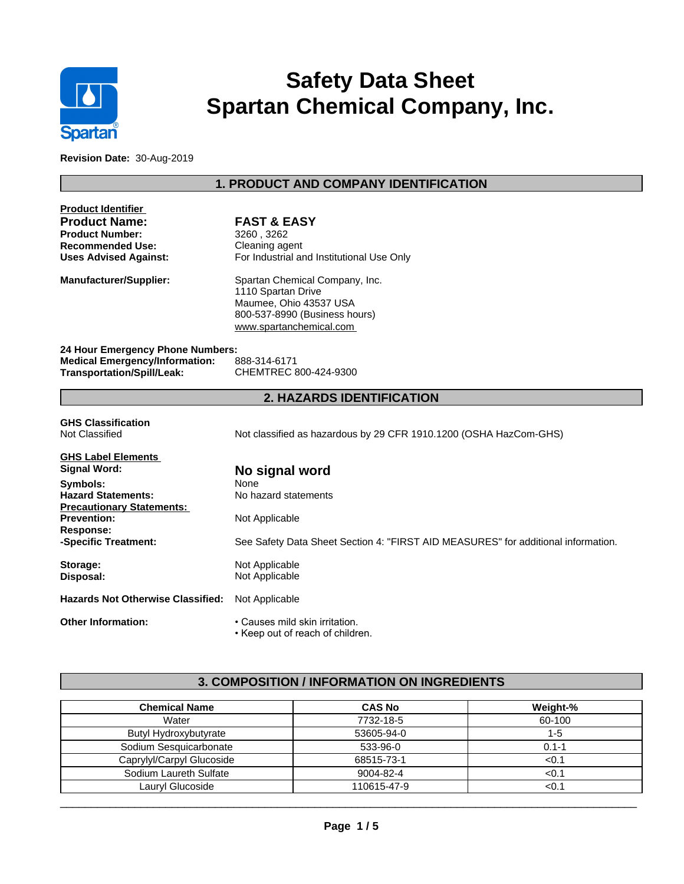

# **Safety Data Sheet Spartan Chemical Company, Inc.**

**Revision Date:** 30-Aug-2019

# **1. PRODUCT AND COMPANY IDENTIFICATION**

| <b>Product Identifier</b><br><b>Product Name:</b><br><b>Product Number:</b><br><b>Recommended Use:</b><br><b>Uses Advised Against:</b> | <b>FAST &amp; EASY</b><br>3260, 3262<br>Cleaning agent<br>For Industrial and Institutional Use Only                                        |
|----------------------------------------------------------------------------------------------------------------------------------------|--------------------------------------------------------------------------------------------------------------------------------------------|
| <b>Manufacturer/Supplier:</b>                                                                                                          | Spartan Chemical Company, Inc.<br>1110 Spartan Drive<br>Maumee, Ohio 43537 USA<br>800-537-8990 (Business hours)<br>www.spartanchemical.com |
| 24 Hour Emergency Phone Numbers:<br><b>Medical Emergency/Information:</b>                                                              | 888-314-6171                                                                                                                               |
| <b>Transportation/Spill/Leak:</b>                                                                                                      | CHEMTREC 800-424-9300                                                                                                                      |
|                                                                                                                                        | <b>2. HAZARDS IDENTIFICATION</b>                                                                                                           |
| <b>GHS Classification</b><br>Not Classified                                                                                            | Not classified as hazardous by 29 CFR 1910.1200 (OSHA HazCom-GHS)                                                                          |

| <b>GHS Label Elements</b>                |                                                                                   |
|------------------------------------------|-----------------------------------------------------------------------------------|
| Signal Word:                             | No signal word                                                                    |
| Symbols:                                 | None                                                                              |
| <b>Hazard Statements:</b>                | No hazard statements                                                              |
| <b>Precautionary Statements:</b>         |                                                                                   |
| <b>Prevention:</b>                       | Not Applicable                                                                    |
| Response:                                |                                                                                   |
| -Specific Treatment:                     | See Safety Data Sheet Section 4: "FIRST AID MEASURES" for additional information. |
| Storage:                                 | Not Applicable                                                                    |
| Disposal:                                | Not Applicable                                                                    |
| <b>Hazards Not Otherwise Classified:</b> | Not Applicable                                                                    |
| <b>Other Information:</b>                | • Causes mild skin irritation.                                                    |

• Keep out of reach of children.

## **3. COMPOSITION / INFORMATION ON INGREDIENTS**

| <b>Chemical Name</b>      | <b>CAS No</b> | Weight-% |
|---------------------------|---------------|----------|
| Water                     | 7732-18-5     | 60-100   |
| Butyl Hydroxybutyrate     | 53605-94-0    | 1-5      |
| Sodium Sesquicarbonate    | 533-96-0      | 0.1-1    |
| Caprylyl/Carpyl Glucoside | 68515-73-1    | < 0.1    |
| Sodium Laureth Sulfate    | 9004-82-4     | < 0.1    |
| Lauryl Glucoside          | 110615-47-9   | <0.1     |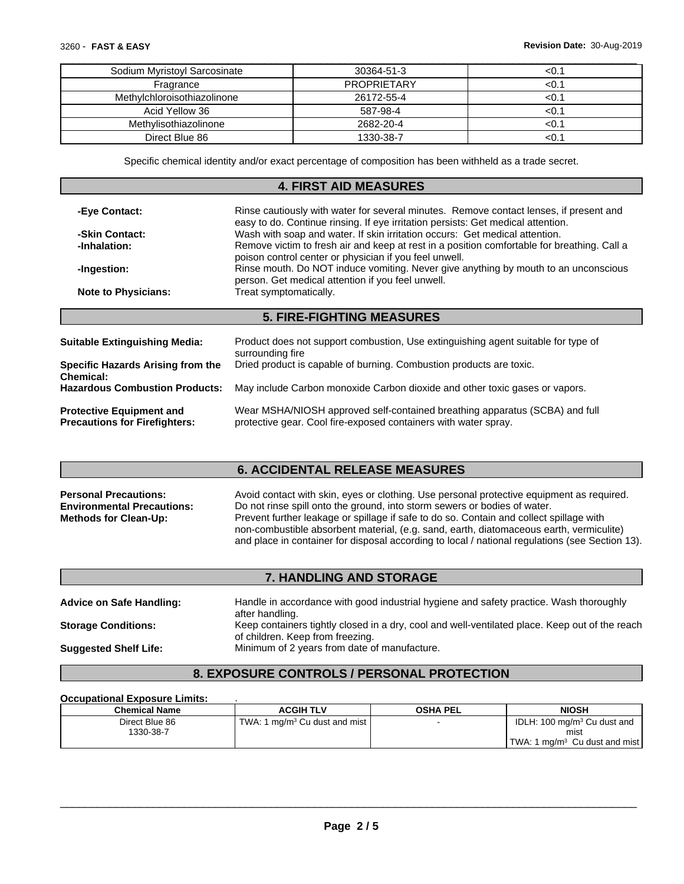| Sodium Myristoyl Sarcosinate | 30364-51-3         | <∪.               |
|------------------------------|--------------------|-------------------|
| Fragrance                    | <b>PROPRIETARY</b> | <u.< td=""></u.<> |
| Methylchloroisothiazolinone  | 26172-55-4         | <∪.∶              |
| Acid Yellow 36               | 587-98-4           |                   |
| Methylisothiazolinone        | 2682-20-4          |                   |
| Direct Blue 86               | 1330-38-7          |                   |

Specific chemical identity and/or exact percentage of composition has been withheld as a trade secret.

### **4. FIRST AID MEASURES**

| -Eye Contact:                                                           | Rinse cautiously with water for several minutes. Remove contact lenses, if present and<br>easy to do. Continue rinsing. If eye irritation persists: Get medical attention.                                                                                                                                                  |  |
|-------------------------------------------------------------------------|-----------------------------------------------------------------------------------------------------------------------------------------------------------------------------------------------------------------------------------------------------------------------------------------------------------------------------|--|
| -Skin Contact:                                                          | Wash with soap and water. If skin irritation occurs: Get medical attention.                                                                                                                                                                                                                                                 |  |
| -Inhalation:                                                            | Remove victim to fresh air and keep at rest in a position comfortable for breathing. Call a<br>poison control center or physician if you feel unwell.<br>Rinse mouth. Do NOT induce vomiting. Never give anything by mouth to an unconscious<br>person. Get medical attention if you feel unwell.<br>Treat symptomatically. |  |
| -Ingestion:                                                             |                                                                                                                                                                                                                                                                                                                             |  |
| <b>Note to Physicians:</b>                                              |                                                                                                                                                                                                                                                                                                                             |  |
|                                                                         | <b>5. FIRE-FIGHTING MEASURES</b>                                                                                                                                                                                                                                                                                            |  |
|                                                                         |                                                                                                                                                                                                                                                                                                                             |  |
| <b>Suitable Extinguishing Media:</b>                                    | Product does not support combustion. Use extinguishing agent suitable for type of<br>surrounding fire                                                                                                                                                                                                                       |  |
| Specific Hazards Arising from the<br><b>Chemical:</b>                   | Dried product is capable of burning. Combustion products are toxic.                                                                                                                                                                                                                                                         |  |
| <b>Hazardous Combustion Products:</b>                                   | May include Carbon monoxide Carbon dioxide and other toxic gases or vapors.                                                                                                                                                                                                                                                 |  |
| <b>Protective Equipment and</b><br><b>Precautions for Firefighters:</b> | Wear MSHA/NIOSH approved self-contained breathing apparatus (SCBA) and full                                                                                                                                                                                                                                                 |  |

#### **6. ACCIDENTAL RELEASE MEASURES**

| <b>Personal Precautions:</b>      | Avoid contact with skin, eyes or clothing. Use personal protective equipment as required.       |
|-----------------------------------|-------------------------------------------------------------------------------------------------|
| <b>Environmental Precautions:</b> | Do not rinse spill onto the ground, into storm sewers or bodies of water.                       |
| <b>Methods for Clean-Up:</b>      | Prevent further leakage or spillage if safe to do so. Contain and collect spillage with         |
|                                   | non-combustible absorbent material, (e.g. sand, earth, diatomaceous earth, vermiculite)         |
|                                   | and place in container for disposal according to local / national regulations (see Section 13). |

## **7. HANDLING AND STORAGE**

| <b>Advice on Safe Handling:</b> | Handle in accordance with good industrial hygiene and safety practice. Wash thoroughly<br>after handling.                          |
|---------------------------------|------------------------------------------------------------------------------------------------------------------------------------|
| <b>Storage Conditions:</b>      | Keep containers tightly closed in a dry, cool and well-ventilated place. Keep out of the reach<br>of children. Keep from freezing. |
| <b>Suggested Shelf Life:</b>    | Minimum of 2 years from date of manufacture.                                                                                       |

# **8. EXPOSURE CONTROLS / PERSONAL PROTECTION**

#### **Occupational Exposure Limits:** .

| <b>Chemical Name</b> | ACGIH TLV                                             | <b>OSHA PEL</b> | <b>NIOSH</b>                                   |
|----------------------|-------------------------------------------------------|-----------------|------------------------------------------------|
| Direct Blue 86       | 1 mg/m <sup>3</sup> Cu dust and mist<br><b>TWA: 1</b> |                 | IDLH: 100 mg/m <sup>3</sup> Cu dust and        |
| 1330-38-7            |                                                       |                 | mist                                           |
|                      |                                                       |                 | TWA:<br>I mɑ/m <sup>ɜ</sup> Cu dust and mist l |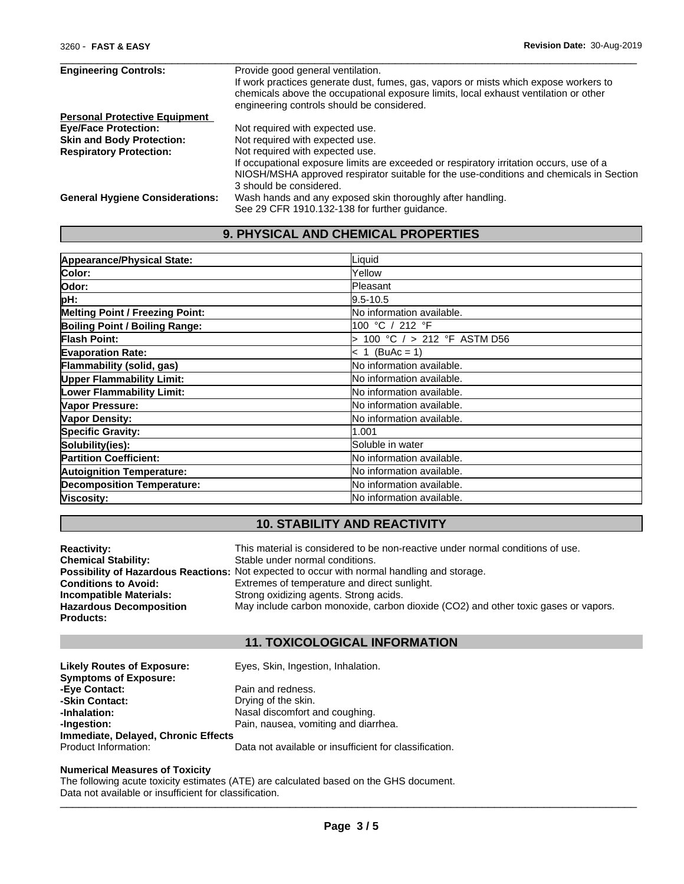| <b>Engineering Controls:</b>           | Provide good general ventilation.                                                       |
|----------------------------------------|-----------------------------------------------------------------------------------------|
|                                        | If work practices generate dust, fumes, gas, vapors or mists which expose workers to    |
|                                        | chemicals above the occupational exposure limits, local exhaust ventilation or other    |
|                                        | engineering controls should be considered.                                              |
| <b>Personal Protective Equipment</b>   |                                                                                         |
| <b>Eve/Face Protection:</b>            | Not required with expected use.                                                         |
| <b>Skin and Body Protection:</b>       | Not required with expected use.                                                         |
| <b>Respiratory Protection:</b>         | Not required with expected use.                                                         |
|                                        | If occupational exposure limits are exceeded or respiratory irritation occurs, use of a |
|                                        | NIOSH/MSHA approved respirator suitable for the use-conditions and chemicals in Section |
|                                        | 3 should be considered.                                                                 |
| <b>General Hygiene Considerations:</b> | Wash hands and any exposed skin thoroughly after handling.                              |
|                                        | See 29 CFR 1910.132-138 for further guidance.                                           |

 $\_$  ,  $\_$  ,  $\_$  ,  $\_$  ,  $\_$  ,  $\_$  ,  $\_$  ,  $\_$  ,  $\_$  ,  $\_$  ,  $\_$  ,  $\_$  ,  $\_$  ,  $\_$  ,  $\_$  ,  $\_$  ,  $\_$  ,  $\_$  ,  $\_$  ,  $\_$  ,  $\_$  ,  $\_$  ,  $\_$  ,  $\_$  ,  $\_$  ,  $\_$  ,  $\_$  ,  $\_$  ,  $\_$  ,  $\_$  ,  $\_$  ,  $\_$  ,  $\_$  ,  $\_$  ,  $\_$  ,  $\_$  ,  $\_$  ,

## **9. PHYSICAL AND CHEMICAL PROPERTIES**

| Appearance/Physical State:        | Liquid                       |
|-----------------------------------|------------------------------|
| Color:                            | Yellow                       |
| lOdor:                            | <b>Pleasant</b>              |
| pH:                               | l9.5-10.5                    |
| Melting Point / Freezing Point:   | No information available.    |
| Boiling Point / Boiling Range:    | 100 °C / 212 °F              |
| Flash Point:                      | 100 °C $/$ > 212 °F ASTM D56 |
| <b>Evaporation Rate:</b>          | $< 1$ (BuAc = 1)             |
| Flammability (solid, gas)         | No information available.    |
| <b>Upper Flammability Limit:</b>  | No information available.    |
| <b>Lower Flammability Limit:</b>  | No information available.    |
| Vapor Pressure:                   | No information available.    |
| Vapor Density:                    | No information available.    |
| <b>Specific Gravity:</b>          | 1.001                        |
| Solubility(ies):                  | Soluble in water             |
| <b>Partition Coefficient:</b>     | No information available.    |
| <b>Autoignition Temperature:</b>  | No information available.    |
| <b>Decomposition Temperature:</b> | No information available.    |
| Viscosity:                        | No information available.    |

# **10. STABILITY AND REACTIVITY**

| <b>Reactivity:</b>             | This material is considered to be non-reactive under normal conditions of use.                     |
|--------------------------------|----------------------------------------------------------------------------------------------------|
| <b>Chemical Stability:</b>     | Stable under normal conditions.                                                                    |
|                                | <b>Possibility of Hazardous Reactions:</b> Not expected to occur with normal handling and storage. |
| <b>Conditions to Avoid:</b>    | Extremes of temperature and direct sunlight.                                                       |
| Incompatible Materials:        | Strong oxidizing agents. Strong acids.                                                             |
| <b>Hazardous Decomposition</b> | May include carbon monoxide, carbon dioxide (CO2) and other toxic gases or vapors.                 |
| Products:                      |                                                                                                    |
|                                |                                                                                                    |

# **11. TOXICOLOGICAL INFORMATION**

| <b>Likely Routes of Exposure:</b>   | Eyes, Skin, Ingestion, Inhalation.                     |
|-------------------------------------|--------------------------------------------------------|
| <b>Symptoms of Exposure:</b>        |                                                        |
| -Eye Contact:                       | Pain and redness.                                      |
| -Skin Contact:                      | Drying of the skin.                                    |
| -Inhalation:                        | Nasal discomfort and coughing.                         |
| -Ingestion:                         | Pain, nausea, vomiting and diarrhea.                   |
| Immediate, Delayed, Chronic Effects |                                                        |
| Product Information:                | Data not available or insufficient for classification. |

#### **Numerical Measures of Toxicity**

The following acute toxicity estimates (ATE) are calculated based on the GHS document. Data not available or insufficient for classification.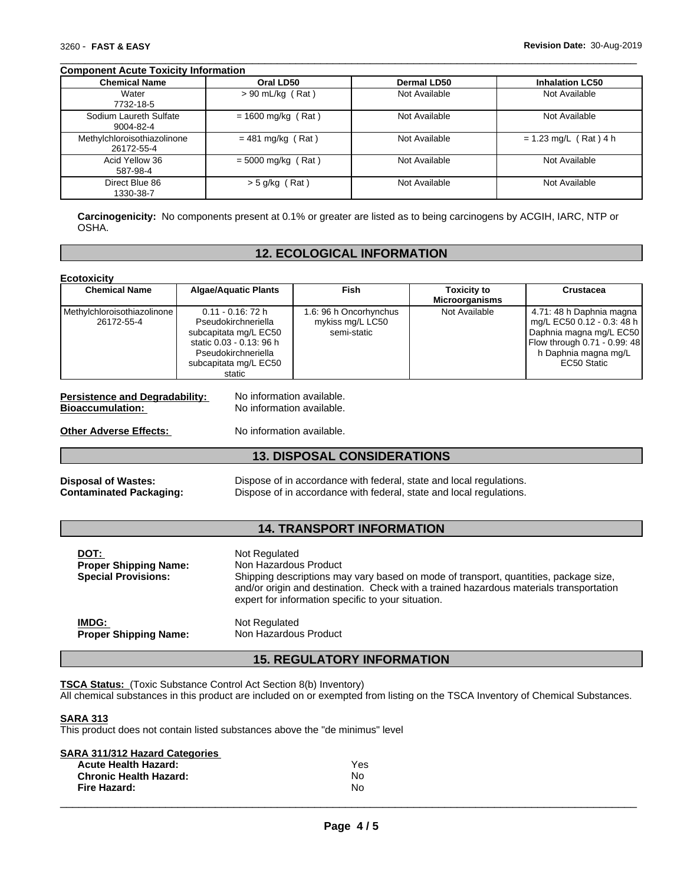#### **Component Acute Toxicity Information**

| <b>Chemical Name</b>                      | Oral LD50            | <b>Dermal LD50</b> | <b>Inhalation LC50</b>  |
|-------------------------------------------|----------------------|--------------------|-------------------------|
| Water<br>7732-18-5                        | $> 90$ mL/kg (Rat)   | Not Available      | Not Available           |
| Sodium Laureth Sulfate<br>9004-82-4       | $= 1600$ mg/kg (Rat) | Not Available      | Not Available           |
| Methylchloroisothiazolinone<br>26172-55-4 | $= 481$ mg/kg (Rat)  | Not Available      | $= 1.23$ mg/L (Rat) 4 h |
| Acid Yellow 36<br>587-98-4                | $= 5000$ mg/kg (Rat) | Not Available      | Not Available           |
| Direct Blue 86<br>1330-38-7               | $>$ 5 g/kg (Rat)     | Not Available      | Not Available           |

 $\_$  ,  $\_$  ,  $\_$  ,  $\_$  ,  $\_$  ,  $\_$  ,  $\_$  ,  $\_$  ,  $\_$  ,  $\_$  ,  $\_$  ,  $\_$  ,  $\_$  ,  $\_$  ,  $\_$  ,  $\_$  ,  $\_$  ,  $\_$  ,  $\_$  ,  $\_$  ,  $\_$  ,  $\_$  ,  $\_$  ,  $\_$  ,  $\_$  ,  $\_$  ,  $\_$  ,  $\_$  ,  $\_$  ,  $\_$  ,  $\_$  ,  $\_$  ,  $\_$  ,  $\_$  ,  $\_$  ,  $\_$  ,  $\_$  ,

**Carcinogenicity:** No components present at 0.1% or greater are listed as to being carcinogens by ACGIH, IARC, NTP or OSHA.

#### **12. ECOLOGICAL INFORMATION**

| <b>Chemical Name</b>                                                                                                                                                                                    | <b>Algae/Aquatic Plants</b>                                                                                                                                                                                                                                                    | Fish                                                                                                                                       | <b>Toxicity to</b><br><b>Microorganisms</b> | <b>Crustacea</b>                                                                                                                                         |  |
|---------------------------------------------------------------------------------------------------------------------------------------------------------------------------------------------------------|--------------------------------------------------------------------------------------------------------------------------------------------------------------------------------------------------------------------------------------------------------------------------------|--------------------------------------------------------------------------------------------------------------------------------------------|---------------------------------------------|----------------------------------------------------------------------------------------------------------------------------------------------------------|--|
| $0.11 - 0.16$ : 72 h<br>Methylchloroisothiazolinone<br>26172-55-4<br>Pseudokirchneriella<br>subcapitata mg/L EC50<br>static 0.03 - 0.13: 96 h<br>Pseudokirchneriella<br>subcapitata mg/L EC50<br>static |                                                                                                                                                                                                                                                                                | 1.6: 96 h Oncorhynchus<br>mykiss mg/L LC50<br>semi-static                                                                                  | Not Available                               | 4.71: 48 h Daphnia magna<br>mg/L EC50 0.12 - 0.3: 48 h<br>Daphnia magna mg/L EC50<br>Flow through 0.71 - 0.99: 48<br>h Daphnia magna mg/L<br>EC50 Static |  |
| <b>Persistence and Degradability:</b><br><b>Bioaccumulation:</b>                                                                                                                                        | No information available.<br>No information available.                                                                                                                                                                                                                         |                                                                                                                                            |                                             |                                                                                                                                                          |  |
| <b>Other Adverse Effects:</b>                                                                                                                                                                           | No information available.                                                                                                                                                                                                                                                      |                                                                                                                                            |                                             |                                                                                                                                                          |  |
|                                                                                                                                                                                                         |                                                                                                                                                                                                                                                                                | <b>13. DISPOSAL CONSIDERATIONS</b>                                                                                                         |                                             |                                                                                                                                                          |  |
| <b>Disposal of Wastes:</b><br><b>Contaminated Packaging:</b>                                                                                                                                            |                                                                                                                                                                                                                                                                                | Dispose of in accordance with federal, state and local regulations.<br>Dispose of in accordance with federal, state and local regulations. |                                             |                                                                                                                                                          |  |
|                                                                                                                                                                                                         |                                                                                                                                                                                                                                                                                | <b>14. TRANSPORT INFORMATION</b>                                                                                                           |                                             |                                                                                                                                                          |  |
| DOT:<br><b>Proper Shipping Name:</b><br><b>Special Provisions:</b>                                                                                                                                      | Not Regulated<br>Non Hazardous Product<br>Shipping descriptions may vary based on mode of transport, quantities, package size,<br>and/or origin and destination. Check with a trained hazardous materials transportation<br>expert for information specific to your situation. |                                                                                                                                            |                                             |                                                                                                                                                          |  |
| IMDG:<br>Not Regulated<br>Non Hazardous Product<br><b>Proper Shipping Name:</b>                                                                                                                         |                                                                                                                                                                                                                                                                                |                                                                                                                                            |                                             |                                                                                                                                                          |  |

**TSCA Status:** (Toxic Substance Control Act Section 8(b) Inventory)

All chemical substances in this product are included on or exempted from listing on the TSCA Inventory of Chemical Substances.

#### **SARA 313**

This product does not contain listed substances above the "de minimus" level

| SARA 311/312 Hazard Categories |     |  |
|--------------------------------|-----|--|
| <b>Acute Health Hazard:</b>    | Yes |  |
| <b>Chronic Health Hazard:</b>  | Nο  |  |
| Fire Hazard:                   | N٥  |  |